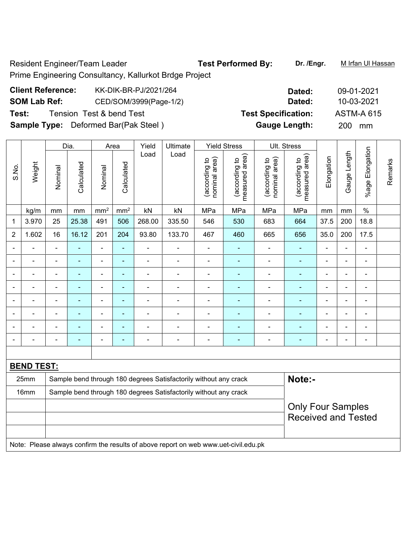Resident Engineer/Team Leader **Test Performed By:** Dr. /Engr. Murtan Ul Hassan Prime Engineering Consultancy, Kallurkot Brdge Project

| <b>Client Reference:</b> | KK-DIK-BR-PJ/2021/264                       | Dated:                     | 09-01-2021        |
|--------------------------|---------------------------------------------|----------------------------|-------------------|
| <b>SOM Lab Ref:</b>      | CED/SOM/3999(Page-1/2)                      | Dated:                     | 10-03-2021        |
| Test:                    | Tension Test & bend Test                    | <b>Test Specification:</b> | <b>ASTM-A 615</b> |
|                          | <b>Sample Type:</b> Deformed Bar(Pak Steel) | <b>Gauge Length:</b>       | <b>200</b><br>mm  |

|                |                   |                | Dia.       | Area            |                 | Yield<br>Ultimate |                                                                                     | <b>Yield Stress</b>            |                                 | Ult. Stress                    |                                 |                |                |                 |         |
|----------------|-------------------|----------------|------------|-----------------|-----------------|-------------------|-------------------------------------------------------------------------------------|--------------------------------|---------------------------------|--------------------------------|---------------------------------|----------------|----------------|-----------------|---------|
| S.No.          | Weight            | Nominal        | Calculated | Nominal         | Calculated      | Load              | Load                                                                                | nominal area)<br>(according to | measured area)<br>(according to | nominal area)<br>(according to | measured area)<br>(according to | Elongation     | Gauge Length   | %age Elongation | Remarks |
|                | kg/m              | mm             | mm         | mm <sup>2</sup> | mm <sup>2</sup> | kN                | kN                                                                                  | MPa                            | MPa                             | MPa                            | MPa                             | mm             | mm             | $\%$            |         |
| $\mathbf 1$    | 3.970             | 25             | 25.38      | 491             | 506             | 268.00            | 335.50                                                                              | 546                            | 530                             | 683                            | 664                             | 37.5           | 200            | 18.8            |         |
| $\overline{2}$ | 1.602             | 16             | 16.12      | 201             | 204             | 93.80             | 133.70                                                                              | 467                            | 460                             | 665                            | 656                             | 35.0           | 200            | 17.5            |         |
|                |                   |                |            |                 |                 |                   |                                                                                     |                                |                                 |                                |                                 |                |                | $\blacksquare$  |         |
|                |                   |                | -          | ÷,              | ۰               | ä,                |                                                                                     | $\blacksquare$                 | $\blacksquare$                  | ÷                              |                                 |                | $\blacksquare$ | $\blacksquare$  |         |
| $\blacksquare$ |                   | $\blacksquare$ | ä,         | $\blacksquare$  | ۰               | ÷                 | $\overline{a}$                                                                      | $\blacksquare$                 | $\overline{\phantom{a}}$        |                                |                                 | $\blacksquare$ | $\blacksquare$ | $\blacksquare$  |         |
|                |                   | $\blacksquare$ | ä,         | $\blacksquare$  | ۰               | ÷,                | $\blacksquare$                                                                      | $\blacksquare$                 | $\overline{\phantom{a}}$        | ÷                              | $\blacksquare$                  |                | $\blacksquare$ | $\blacksquare$  |         |
|                |                   | $\blacksquare$ | ä,         | $\blacksquare$  | ä,              | -                 | $\blacksquare$                                                                      | $\blacksquare$                 | $\blacksquare$                  | ÷                              | $\blacksquare$                  | ÷              | $\blacksquare$ | L.              |         |
|                |                   |                |            | $\blacksquare$  | $\blacksquare$  | L,                |                                                                                     | L.                             | $\blacksquare$                  |                                |                                 |                | L.             | $\blacksquare$  |         |
|                |                   |                |            | -               |                 |                   |                                                                                     |                                |                                 |                                |                                 |                |                | $\blacksquare$  |         |
|                |                   |                | ۰          | -               | ۰               | ۰                 | $\blacksquare$                                                                      | $\blacksquare$                 | $\overline{\phantom{a}}$        | ۰                              | $\blacksquare$                  | $\blacksquare$ | $\blacksquare$ | $\blacksquare$  |         |
|                |                   |                |            |                 |                 |                   |                                                                                     |                                |                                 |                                |                                 |                |                |                 |         |
|                | <b>BEND TEST:</b> |                |            |                 |                 |                   |                                                                                     |                                |                                 |                                |                                 |                |                |                 |         |
|                | 25mm              |                |            |                 |                 |                   | Sample bend through 180 degrees Satisfactorily without any crack                    |                                |                                 |                                | Note:-                          |                |                |                 |         |
|                | 16mm              |                |            |                 |                 |                   | Sample bend through 180 degrees Satisfactorily without any crack                    |                                |                                 |                                |                                 |                |                |                 |         |
|                |                   |                |            |                 |                 |                   |                                                                                     |                                |                                 |                                | <b>Only Four Samples</b>        |                |                |                 |         |
|                |                   |                |            |                 |                 |                   |                                                                                     |                                |                                 |                                | <b>Received and Tested</b>      |                |                |                 |         |
|                |                   |                |            |                 |                 |                   |                                                                                     |                                |                                 |                                |                                 |                |                |                 |         |
|                |                   |                |            |                 |                 |                   | Note: Please always confirm the results of above report on web www.uet-civil.edu.pk |                                |                                 |                                |                                 |                |                |                 |         |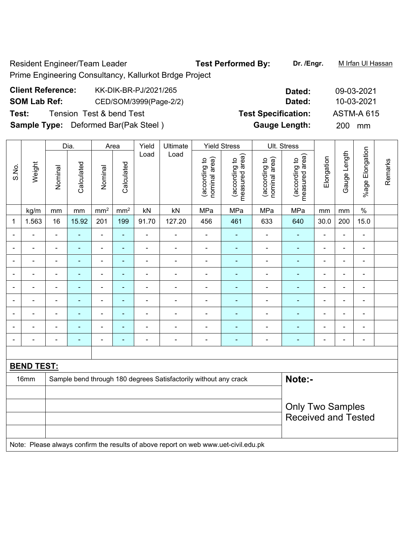Resident Engineer/Team Leader **Test Performed By:** Dr. /Engr. M Irfan Ul Hassan Prime Engineering Consultancy, Kallurkot Brdge Project

# **Client Reference:** KK-DIK-BR-PJ/2021/265 **Dated:** 09-03-2021 **SOM Lab Ref:** CED/SOM/3999(Page-2/2) **Dated:** 10-03-2021 **Test:** Tension Test & bend Test **Test Specification:** ASTM-A 615 **Sample Type:** Deformed Bar(Pak Steel ) **Gauge Length:** 200 mm

|                          |                   |                          | Dia.           | Area                         |                 | Yield<br>Ultimate |                                                                                     | <b>Yield Stress</b>            |                                 | Ult. Stress                    |                                 |                |                |                 |         |
|--------------------------|-------------------|--------------------------|----------------|------------------------------|-----------------|-------------------|-------------------------------------------------------------------------------------|--------------------------------|---------------------------------|--------------------------------|---------------------------------|----------------|----------------|-----------------|---------|
| S.No.                    | Weight            | Nominal                  | Calculated     | Nominal                      | Calculated      | Load              | Load                                                                                | nominal area)<br>(according to | measured area)<br>(according to | nominal area)<br>(according to | measured area)<br>(according to | Elongation     | Gauge Length   | %age Elongation | Remarks |
|                          | kg/m              | mm                       | mm             | mm <sup>2</sup>              | mm <sup>2</sup> | kN                | kN                                                                                  | MPa                            | MPa                             | MPa                            | MPa                             | mm             | mm             | $\%$            |         |
| 1                        | 1.563             | 16                       | 15.92          | 201                          | 199             | 91.70             | 127.20                                                                              | 456                            | 461                             | 633                            | 640                             | 30.0           | 200            | 15.0            |         |
| $\blacksquare$           | ÷                 | $\blacksquare$           | ä,             | $\blacksquare$               | $\blacksquare$  | ä,                | $\blacksquare$                                                                      | $\blacksquare$                 | $\blacksquare$                  | $\blacksquare$                 | ä,                              | $\blacksquare$ | ä,             | ä,              |         |
| $\overline{\phantom{0}}$ | $\blacksquare$    | $\blacksquare$           | $\blacksquare$ | $\qquad \qquad \blacksquare$ | $\blacksquare$  | $\blacksquare$    | $\blacksquare$                                                                      | $\blacksquare$                 | $\blacksquare$                  | $\blacksquare$                 | ä,                              | ÷              | ä,             | $\blacksquare$  |         |
|                          |                   | ä,                       | ä,             | $\blacksquare$               | ä,              | ÷                 | $\blacksquare$                                                                      | L,                             | $\blacksquare$                  | $\blacksquare$                 | ä,                              | $\blacksquare$ | $\blacksquare$ | $\blacksquare$  |         |
|                          |                   | $\blacksquare$           | $\blacksquare$ | $\blacksquare$               | ٠               | $\blacksquare$    | $\blacksquare$                                                                      | $\blacksquare$                 | $\blacksquare$                  | $\overline{\phantom{0}}$       | $\blacksquare$                  |                | $\sim$         | $\blacksquare$  |         |
|                          |                   | $\blacksquare$           |                | ä,                           | $\blacksquare$  | $\blacksquare$    | ٠                                                                                   | ÷                              | $\blacksquare$                  | ٠                              | $\blacksquare$                  |                |                | ۰               |         |
| $\overline{a}$           |                   | ä,                       | $\blacksquare$ | ÷                            | $\blacksquare$  | $\blacksquare$    | Ē,                                                                                  | Ē,                             | $\blacksquare$                  |                                | $\blacksquare$                  | ÷              | $\blacksquare$ | ÷               |         |
| $\overline{\phantom{a}}$ |                   | $\blacksquare$           | $\blacksquare$ | $\blacksquare$               | $\blacksquare$  | ä,                | ÷                                                                                   | $\blacksquare$                 | $\blacksquare$                  | $\overline{\phantom{a}}$       | $\blacksquare$                  | ÷              | $\blacksquare$ | ÷,              |         |
|                          |                   | $\overline{\phantom{0}}$ | $\blacksquare$ | $\blacksquare$               | $\blacksquare$  | $\blacksquare$    | $\overline{\phantom{0}}$                                                            | $\overline{a}$                 | $\blacksquare$                  | $\blacksquare$                 | ٠                               | $\overline{a}$ | $\blacksquare$ | $\blacksquare$  |         |
| $\overline{\phantom{0}}$ | ٠                 | $\blacksquare$           | $\blacksquare$ | $\qquad \qquad \blacksquare$ | $\blacksquare$  | $\blacksquare$    | $\blacksquare$                                                                      | ÷                              | $\blacksquare$                  | $\overline{\phantom{a}}$       | $\blacksquare$                  | ÷              | $\blacksquare$ | ÷,              |         |
|                          |                   |                          |                |                              |                 |                   |                                                                                     |                                |                                 |                                |                                 |                |                |                 |         |
|                          | <b>BEND TEST:</b> |                          |                |                              |                 |                   |                                                                                     |                                |                                 |                                |                                 |                |                |                 |         |
|                          | 16mm              |                          |                |                              |                 |                   | Sample bend through 180 degrees Satisfactorily without any crack                    |                                |                                 |                                | Note:-                          |                |                |                 |         |
|                          |                   |                          |                |                              |                 |                   |                                                                                     |                                |                                 |                                |                                 |                |                |                 |         |
|                          |                   |                          |                |                              |                 |                   |                                                                                     |                                |                                 |                                | <b>Only Two Samples</b>         |                |                |                 |         |
|                          |                   |                          |                |                              |                 |                   |                                                                                     |                                |                                 |                                | <b>Received and Tested</b>      |                |                |                 |         |
|                          |                   |                          |                |                              |                 |                   |                                                                                     |                                |                                 |                                |                                 |                |                |                 |         |
|                          |                   |                          |                |                              |                 |                   | Note: Please always confirm the results of above report on web www.uet-civil.edu.pk |                                |                                 |                                |                                 |                |                |                 |         |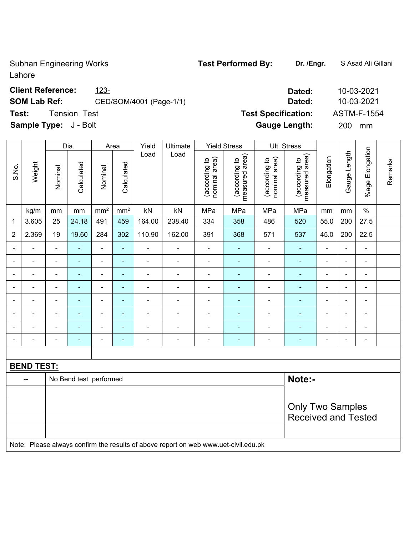Subhan Engineering Works **Test Performed By:** Dr. /Engr. **SAsad Ali Gillani** Lahore

## **Client Reference:** 223-<br> **Dated:** 2003-2021

# **SOM Lab Ref:** CED/SOM/4001 (Page-1/1) **Dated:** 10-03-2021

**Test:** Tension Test **Test Specification:** ASTM-F-1554

**Sample Type:** J - Bolt **Gauge Length:** 200 mm

|                          |                                                                                     |                         | Dia.                   |                          | Area            | Yield          | Ultimate       |                                | <b>Yield Stress</b>             |                                | Ult. Stress                     |                |                |                          |         |
|--------------------------|-------------------------------------------------------------------------------------|-------------------------|------------------------|--------------------------|-----------------|----------------|----------------|--------------------------------|---------------------------------|--------------------------------|---------------------------------|----------------|----------------|--------------------------|---------|
| S.No.                    | Weight                                                                              | Nominal                 | Calculated             | Nominal                  | Calculated      | Load           | Load           | nominal area)<br>(according to | measured area)<br>(according to | (according to<br>nominal area) | measured area)<br>(according to | Elongation     | Gauge Length   | %age Elongation          | Remarks |
|                          | kg/m                                                                                | mm                      | mm                     | mm <sup>2</sup>          | mm <sup>2</sup> | kN             | kN             | MPa                            | MPa                             | MPa                            | MPa                             | mm             | mm             | $\%$                     |         |
| 1                        | 3.605                                                                               | 25                      | 24.18                  | 491                      | 459             | 164.00         | 238.40         | 334                            | 358                             | 486                            | 520                             | 55.0           | 200            | 27.5                     |         |
| $\overline{2}$           | 2.369                                                                               | 19                      | 19.60                  | 284                      | 302             | 110.90         | 162.00         | 391                            | 368                             | 571                            | 537                             | 45.0           | 200            | 22.5                     |         |
|                          |                                                                                     | $\blacksquare$          |                        | $\blacksquare$           | $\blacksquare$  |                | $\blacksquare$ | $\blacksquare$                 |                                 |                                | ÷                               |                | ä,             | ÷,                       |         |
|                          |                                                                                     | $\blacksquare$          |                        | $\blacksquare$           | ٠               |                | $\blacksquare$ | $\blacksquare$                 | ۰                               | $\blacksquare$                 | $\blacksquare$                  | $\blacksquare$ | $\blacksquare$ | ٠                        |         |
| $\overline{\phantom{0}}$ |                                                                                     | $\blacksquare$          |                        | $\overline{\phantom{a}}$ | $\blacksquare$  |                | $\blacksquare$ | $\blacksquare$                 | ۰                               |                                | Ē.                              | $\blacksquare$ | $\blacksquare$ | $\blacksquare$           |         |
| $\overline{\phantom{0}}$ |                                                                                     | $\blacksquare$          |                        | $\overline{\phantom{a}}$ | ÷               | $\blacksquare$ | ÷,             | $\blacksquare$                 | ÷                               | $\blacksquare$                 | ÷                               | $\blacksquare$ | L,             | $\blacksquare$           |         |
| $\blacksquare$           | $\blacksquare$                                                                      | $\blacksquare$          | ÷                      | $\blacksquare$           | $\blacksquare$  | ÷              | $\blacksquare$ | $\blacksquare$                 | ۰                               | $\blacksquare$                 | ÷                               | $\blacksquare$ | ä,             | $\blacksquare$           |         |
|                          | $\blacksquare$                                                                      | $\blacksquare$          | ÷                      | $\blacksquare$           | $\blacksquare$  | $\blacksquare$ | $\blacksquare$ | $\blacksquare$                 |                                 | $\blacksquare$                 | ÷                               | $\blacksquare$ | $\blacksquare$ | $\blacksquare$           |         |
|                          |                                                                                     |                         |                        | $\blacksquare$           | $\blacksquare$  |                | $\blacksquare$ |                                | $\blacksquare$                  | $\blacksquare$                 | ٠                               |                |                | $\overline{\phantom{a}}$ |         |
|                          |                                                                                     | $\blacksquare$          |                        | $\blacksquare$           | $\blacksquare$  | ٠              | $\blacksquare$ | $\blacksquare$                 | ۰                               |                                | Ē.                              | $\blacksquare$ | Ē,             | $\blacksquare$           |         |
|                          |                                                                                     |                         |                        |                          |                 |                |                |                                |                                 |                                |                                 |                |                |                          |         |
|                          | <b>BEND TEST:</b>                                                                   |                         |                        |                          |                 |                |                |                                |                                 |                                |                                 |                |                |                          |         |
|                          | $-$                                                                                 |                         | No Bend test performed |                          |                 |                |                |                                |                                 |                                | Note:-                          |                |                |                          |         |
|                          |                                                                                     |                         |                        |                          |                 |                |                |                                |                                 |                                |                                 |                |                |                          |         |
|                          |                                                                                     | <b>Only Two Samples</b> |                        |                          |                 |                |                |                                |                                 |                                |                                 |                |                |                          |         |
|                          |                                                                                     |                         |                        |                          |                 |                |                |                                |                                 |                                | <b>Received and Tested</b>      |                |                |                          |         |
|                          |                                                                                     |                         |                        |                          |                 |                |                |                                |                                 |                                |                                 |                |                |                          |         |
|                          | Note: Please always confirm the results of above report on web www.uet-civil.edu.pk |                         |                        |                          |                 |                |                |                                |                                 |                                |                                 |                |                |                          |         |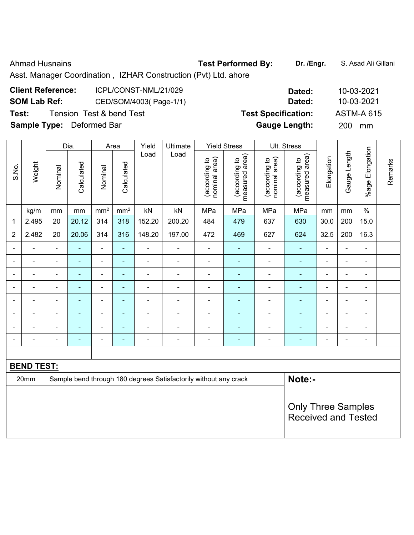Ahmad Husnains **Test Performed By:** Dr. /Engr. **S. Asad Ali Gillani** Ahmad Husnains

Asst. Manager Coordination , IZHAR Construction (Pvt) Ltd. ahore

| <b>Client Reference:</b>         | ICPL/CONST-NML/21/029    | Dated:                     | 10-03-2021        |
|----------------------------------|--------------------------|----------------------------|-------------------|
| <b>SOM Lab Ref:</b>              | CED/SOM/4003(Page-1/1)   | Dated:                     | 10-03-2021        |
| Test:                            | Tension Test & bend Test | <b>Test Specification:</b> | <b>ASTM-A 615</b> |
| <b>Sample Type:</b> Deformed Bar |                          | <b>Gauge Length:</b>       | <b>200</b><br>mm  |

|                          |                   |                | Dia.           |                              | Area            | Yield<br>Ultimate |                                                                  | <b>Yield Stress</b>            |                                             | Ult. Stress                    |                                 |                |                          |                          |         |
|--------------------------|-------------------|----------------|----------------|------------------------------|-----------------|-------------------|------------------------------------------------------------------|--------------------------------|---------------------------------------------|--------------------------------|---------------------------------|----------------|--------------------------|--------------------------|---------|
| S.No.                    | Weight            | Nominal        | Calculated     | Nominal                      | Calculated      | Load              | Load                                                             | nominal area)<br>(according to | (according to<br>neasured area)<br>measured | nominal area)<br>(according to | measured area)<br>(according to | Elongation     | Gauge Length             | %age Elongation          | Remarks |
|                          | kg/m              | mm             | mm             | mm <sup>2</sup>              | mm <sup>2</sup> | kN                | kN                                                               | MPa                            | MPa                                         | MPa                            | MPa                             | mm             | mm                       | $\%$                     |         |
| 1                        | 2.495             | 20             | 20.12          | 314                          | 318             | 152.20            | 200.20                                                           | 484                            | 479                                         | 637                            | 630                             | 30.0           | 200                      | 15.0                     |         |
| $\overline{2}$           | 2.482             | 20             | 20.06          | 314                          | 316             | 148.20            | 197.00                                                           | 472                            | 469                                         | 627                            | 624                             | 32.5           | 200                      | 16.3                     |         |
| $\blacksquare$           | ÷                 | $\blacksquare$ | $\blacksquare$ | ÷,                           | Ξ               | $\blacksquare$    | $\blacksquare$                                                   | $\blacksquare$                 | $\blacksquare$                              | $\blacksquare$                 | ä,                              | ä,             | $\overline{a}$           | $\overline{\phantom{a}}$ |         |
|                          | $\blacksquare$    | $\blacksquare$ | $\blacksquare$ | $\qquad \qquad \blacksquare$ | ÷               | $\blacksquare$    | $\blacksquare$                                                   | $\blacksquare$                 | $\blacksquare$                              | $\blacksquare$                 | ÷                               | $\blacksquare$ | $\overline{a}$           | $\blacksquare$           |         |
|                          |                   |                |                | $\overline{a}$               | ÷               |                   |                                                                  |                                |                                             |                                |                                 |                |                          |                          |         |
| $\overline{\phantom{0}}$ | $\blacksquare$    | $\blacksquare$ | ÷              | $\blacksquare$               | ÷               | ÷                 |                                                                  | $\blacksquare$                 |                                             | $\blacksquare$                 | ÷,                              | ä,             | $\blacksquare$           | $\blacksquare$           |         |
| $\blacksquare$           | $\blacksquare$    | $\blacksquare$ | $\blacksquare$ | $\qquad \qquad \blacksquare$ | ÷               | $\blacksquare$    |                                                                  | $\blacksquare$                 | $\blacksquare$                              | $\blacksquare$                 | $\blacksquare$                  | $\blacksquare$ | $\overline{\phantom{a}}$ | $\blacksquare$           |         |
|                          | $\blacksquare$    |                |                | ۰                            | ۳               |                   |                                                                  |                                |                                             |                                |                                 |                |                          | ٠                        |         |
|                          | ۰                 | $\blacksquare$ |                | $\overline{a}$               | ۰               |                   |                                                                  |                                |                                             | $\blacksquare$                 | ۰                               | $\blacksquare$ |                          | $\overline{\phantom{a}}$ |         |
| $\overline{\phantom{0}}$ | $\blacksquare$    | $\blacksquare$ |                | $\blacksquare$               | ÷               | $\blacksquare$    | $\blacksquare$                                                   | $\overline{\phantom{a}}$       | $\blacksquare$                              | $\blacksquare$                 | ÷,                              | ä,             | $\blacksquare$           | $\blacksquare$           |         |
|                          |                   |                |                |                              |                 |                   |                                                                  |                                |                                             |                                |                                 |                |                          |                          |         |
|                          | <b>BEND TEST:</b> |                |                |                              |                 |                   |                                                                  |                                |                                             |                                |                                 |                |                          |                          |         |
|                          | 20mm              |                |                |                              |                 |                   | Sample bend through 180 degrees Satisfactorily without any crack |                                |                                             |                                | Note:-                          |                |                          |                          |         |
|                          |                   |                |                |                              |                 |                   |                                                                  |                                |                                             |                                |                                 |                |                          |                          |         |
|                          |                   |                |                |                              |                 |                   |                                                                  |                                |                                             |                                | <b>Only Three Samples</b>       |                |                          |                          |         |
|                          |                   |                |                |                              |                 |                   |                                                                  |                                |                                             |                                | <b>Received and Tested</b>      |                |                          |                          |         |
|                          |                   |                |                |                              |                 |                   |                                                                  |                                |                                             |                                |                                 |                |                          |                          |         |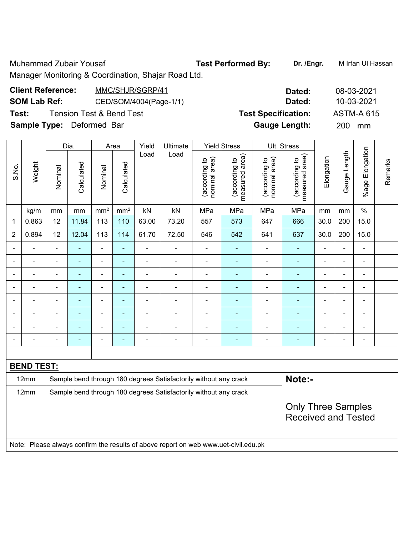Muhammad Zubair Yousaf **Test Performed By:** Dr. /Engr. **Muhammad Zubair Yousaf** 

# Manager Monitoring & Coordination, Shajar Road Ltd.

| <b>Client Reference:</b>         | MMC/SHJR/SGRP/41                    | Dated:                     | 08-03-2021        |
|----------------------------------|-------------------------------------|----------------------------|-------------------|
| <b>SOM Lab Ref:</b>              | CED/SOM/4004(Page-1/1)              | Dated:                     | 10-03-2021        |
| Test:                            | <b>Tension Test &amp; Bend Test</b> | <b>Test Specification:</b> | <b>ASTM-A 615</b> |
| <b>Sample Type:</b> Deformed Bar |                                     | <b>Gauge Length:</b>       | 200<br>mm         |

|                |                   |                          | Dia.                     |                 | Area            | Yield                    | Ultimate                                                         |                                | <b>Yield Stress</b>             |                                | Ult. Stress                              |                |                |                      |         |
|----------------|-------------------|--------------------------|--------------------------|-----------------|-----------------|--------------------------|------------------------------------------------------------------|--------------------------------|---------------------------------|--------------------------------|------------------------------------------|----------------|----------------|----------------------|---------|
| S.No.          | Weight            | Nominal                  | Calculated               | Nominal         | Calculated      | Load                     | Load                                                             | nominal area)<br>(according to | measured area)<br>(according to | nominal area)<br>(according to | area)<br>(according to<br>measured area) | Elongation     | Gauge Length   | Elongation<br>%age I | Remarks |
|                | kg/m              | mm                       | mm                       | mm <sup>2</sup> | mm <sup>2</sup> | kN                       | kN                                                               | MPa                            | MPa                             | MPa                            | MPa                                      | mm             | mm             | $\%$                 |         |
| 1              | 0.863             | 12                       | 11.84                    | 113             | 110             | 63.00                    | 73.20                                                            | 557                            | 573                             | 647                            | 666                                      | 30.0           | 200            | 15.0                 |         |
| $\overline{2}$ | 0.894             | 12                       | 12.04                    | 113             | 114             | 61.70                    | 72.50                                                            | 546                            | 542                             | 641                            | 637                                      | 30.0           | 200            | 15.0                 |         |
|                |                   | $\blacksquare$           |                          | $\blacksquare$  | ä,              | ÷                        | $\blacksquare$                                                   | $\blacksquare$                 |                                 | $\overline{\phantom{0}}$       | ۰                                        |                | ٠              | $\blacksquare$       |         |
|                | -                 | $\blacksquare$           | $\blacksquare$           | $\blacksquare$  | ۰               | $\overline{\phantom{0}}$ | $\blacksquare$                                                   | $\blacksquare$                 |                                 | $\blacksquare$                 | ۰                                        | $\blacksquare$ | $\blacksquare$ | $\blacksquare$       |         |
|                | -                 | $\overline{\phantom{a}}$ | $\blacksquare$           | $\blacksquare$  | ۰               | $\blacksquare$           | $\blacksquare$                                                   | $\blacksquare$                 |                                 |                                | -                                        | $\blacksquare$ | $\blacksquare$ | $\blacksquare$       |         |
|                |                   | $\equiv$                 | $\overline{\phantom{0}}$ | ۰               | ۰               | $\blacksquare$           | -                                                                |                                |                                 |                                |                                          | $\blacksquare$ | $\blacksquare$ | $\blacksquare$       |         |
|                |                   |                          | $\overline{\phantom{0}}$ |                 | $\blacksquare$  |                          |                                                                  |                                |                                 |                                |                                          |                |                | ٠                    |         |
|                |                   |                          |                          | ٠               | -               |                          |                                                                  |                                |                                 |                                |                                          |                | ٠              | $\blacksquare$       |         |
|                |                   | $\blacksquare$           |                          |                 | ۰               | ۰                        | ÷                                                                |                                |                                 |                                |                                          |                | ٠              | $\blacksquare$       |         |
|                |                   |                          |                          |                 | -               |                          | ۰                                                                |                                |                                 |                                |                                          |                |                |                      |         |
|                |                   |                          |                          |                 |                 |                          |                                                                  |                                |                                 |                                |                                          |                |                |                      |         |
|                | <b>BEND TEST:</b> |                          |                          |                 |                 |                          |                                                                  |                                |                                 |                                |                                          |                |                |                      |         |
|                | 12mm              |                          |                          |                 |                 |                          | Sample bend through 180 degrees Satisfactorily without any crack |                                |                                 |                                | Note:-                                   |                |                |                      |         |
|                | 12mm              |                          |                          |                 |                 |                          | Sample bend through 180 degrees Satisfactorily without any crack |                                |                                 |                                |                                          |                |                |                      |         |

| d through 180 degrees Satisfactorily without any crack | Note:-                     |
|--------------------------------------------------------|----------------------------|
| d through 180 degrees Satisfactorily without any crack |                            |
|                                                        | <b>Only Three Samples</b>  |
|                                                        | <b>Received and Tested</b> |
|                                                        |                            |

Note: Please always confirm the results of above report on web www.uet-civil.edu.pk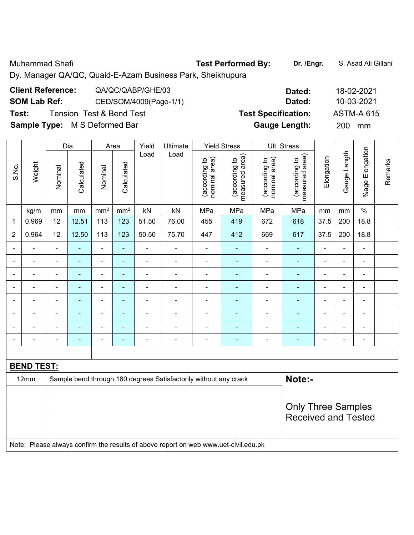Muhammad Shafi **Test Performed By:** Dr. /Engr. **S. Asad Ali Gillani** Ali Dillani

Dy. Manager QA/QC, Quaid-E-Azam Business Park, Sheikhupura

| <b>Client Reference:</b>             | QA/QC/QABP/GHE/03                   | Dated:                     | 18-02-2021        |
|--------------------------------------|-------------------------------------|----------------------------|-------------------|
| <b>SOM Lab Ref:</b>                  | CED/SOM/4009(Page-1/1)              | Dated:                     | 10-03-2021        |
| Test:                                | <b>Tension Test &amp; Bend Test</b> | <b>Test Specification:</b> | <b>ASTM-A 615</b> |
| <b>Sample Type:</b> M S Deformed Bar |                                     | <b>Gauge Length:</b>       | <b>200</b><br>mm  |

|                          |                   |                | Dia.                                                                       |                              | Area                     | Yield<br>Ultimate            |                          | <b>Yield Stress</b>            |                                 | Ult. Stress                    |                                 |                |                |                 |         |
|--------------------------|-------------------|----------------|----------------------------------------------------------------------------|------------------------------|--------------------------|------------------------------|--------------------------|--------------------------------|---------------------------------|--------------------------------|---------------------------------|----------------|----------------|-----------------|---------|
| S.No.                    | Weight            | Nominal        | Calculated                                                                 | Nominal                      | Calculated               | Load                         | Load                     | (according to<br>nominal area) | (according to<br>measured area) | (according to<br>nominal area) | measured area)<br>(according to | Elongation     | Gauge Length   | %age Elongation | Remarks |
|                          | kg/m              | mm             | $\,mm$                                                                     | mm <sup>2</sup>              | mm <sup>2</sup>          | kN                           | kN                       | MPa                            | MPa                             | MPa                            | MPa                             | mm             | mm             | $\%$            |         |
| $\mathbf 1$              | 0.969             | 12             | 12.51                                                                      | 113                          | 123                      | 51.50                        | 76.00                    | 455                            | 419                             | 672                            | 618                             | 37.5           | 200            | 18.8            |         |
| $\overline{2}$           | 0.964             | 12             | 12.50                                                                      | 113                          | 123                      | 50.50                        | 75.70                    | 447                            | 412                             | 669                            | 617                             | 37.5           | 200            | 18.8            |         |
|                          | $\blacksquare$    | $\blacksquare$ | $\blacksquare$                                                             | ÷,                           | ä,                       | $\blacksquare$               | $\blacksquare$           | $\blacksquare$                 | $\blacksquare$                  | $\blacksquare$                 | $\blacksquare$                  | $\blacksquare$ | $\overline{a}$ | $\blacksquare$  |         |
| $\blacksquare$           | $\blacksquare$    | $\blacksquare$ | $\blacksquare$                                                             | ÷,                           | $\blacksquare$           | $\blacksquare$               | $\overline{a}$           | $\blacksquare$                 | $\blacksquare$                  | $\blacksquare$                 | ä,                              | $\blacksquare$ | $\blacksquare$ | $\blacksquare$  |         |
| $\blacksquare$           | $\blacksquare$    | $\blacksquare$ | $\blacksquare$                                                             | $\overline{\phantom{a}}$     | $\overline{\phantom{0}}$ | $\blacksquare$               | $\overline{\phantom{a}}$ | $\blacksquare$                 | $\blacksquare$                  | $\blacksquare$                 | ۰                               | $\blacksquare$ | ä,             | $\blacksquare$  |         |
|                          | $\blacksquare$    | ä,             | $\blacksquare$                                                             | ÷                            |                          | $\blacksquare$               | $\blacksquare$           | $\blacksquare$                 | $\blacksquare$                  | $\blacksquare$                 | ÷,                              | $\blacksquare$ | L,             | $\blacksquare$  |         |
| $\blacksquare$           | $\blacksquare$    | $\blacksquare$ | $\blacksquare$                                                             | ۰                            | $\overline{\phantom{0}}$ | $\blacksquare$               | $\blacksquare$           | ۰                              | $\blacksquare$                  |                                | $\blacksquare$                  | $\blacksquare$ | L,             | $\blacksquare$  |         |
| $\overline{\phantom{0}}$ | $\blacksquare$    | $\blacksquare$ | ٠                                                                          | ۰                            | $\overline{\phantom{0}}$ | $\blacksquare$               | $\overline{a}$           | $\blacksquare$                 | $\blacksquare$                  | $\blacksquare$                 | ۰                               | ۰              | -              | $\blacksquare$  |         |
|                          | $\blacksquare$    | $\blacksquare$ | ٠                                                                          | ۰                            | $\blacksquare$           | $\blacksquare$               | $\blacksquare$           | $\blacksquare$                 | $\blacksquare$                  | $\blacksquare$                 | ä,                              | $\blacksquare$ | ÷              | $\blacksquare$  |         |
|                          |                   |                | $\blacksquare$                                                             | $\qquad \qquad \blacksquare$ | $\overline{\phantom{0}}$ | $\qquad \qquad \blacksquare$ | $\overline{a}$           |                                |                                 |                                | ۰                               | $\blacksquare$ | -              | $\blacksquare$  |         |
|                          |                   |                |                                                                            |                              |                          |                              |                          |                                |                                 |                                |                                 |                |                |                 |         |
|                          | <b>BEND TEST:</b> |                |                                                                            |                              |                          |                              |                          |                                |                                 |                                |                                 |                |                |                 |         |
|                          | 12mm              |                | Note:-<br>Sample bend through 180 degrees Satisfactorily without any crack |                              |                          |                              |                          |                                |                                 |                                |                                 |                |                |                 |         |
|                          |                   |                |                                                                            |                              |                          |                              |                          |                                |                                 |                                |                                 |                |                |                 |         |
|                          |                   |                |                                                                            |                              |                          |                              |                          |                                |                                 |                                | <b>Only Three Samples</b>       |                |                |                 |         |
|                          |                   |                |                                                                            |                              |                          |                              |                          |                                |                                 |                                | <b>Received and Tested</b>      |                |                |                 |         |
|                          |                   |                |                                                                            |                              |                          |                              |                          |                                |                                 |                                |                                 |                |                |                 |         |

Note: Please always confirm the results of above report on web www.uet-civil.edu.pk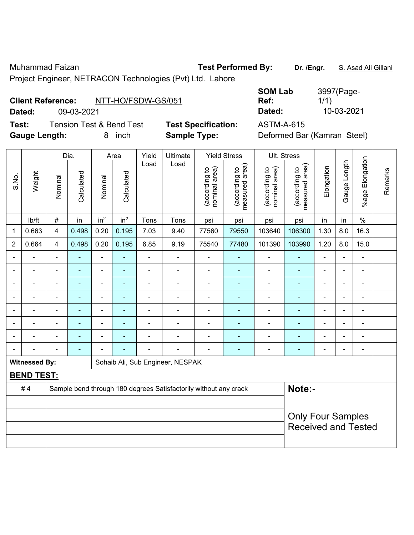Muhammad Faizan **Test Performed By:** Dr. /Engr. **S. Asad Ali Gillani** 

Project Engineer, NETRACON Technologies (Pvt) Ltd. Lahore

| <b>Client Reference:</b> |            | NTT-HO/FSDW-GS/051 |
|--------------------------|------------|--------------------|
| Dotod:                   | na ng pnor |                    |

**Test:** Tension Test & Bend Test **Test Specification:** ASTM-A-615 **Gauge Length:** 8 inch **Sample Type:** Deformed Bar (Kamran Steel)

|                          |            |                    | <b>SOM Lab</b> | 3997(Page- |
|--------------------------|------------|--------------------|----------------|------------|
| <b>Client Reference:</b> |            | NTT-HO/FSDW-GS/051 | Ref:           | 1/1)       |
| Dated:                   | 09-03-2021 |                    | Dated:         | 10-03-2021 |

|                |                      |                          | Dia.           |                          | Area                     | Yield                    | Ultimate                                                         |                                | <b>Yield Stress</b>             |                                | Ult. Stress                     |                          |                |                              |         |
|----------------|----------------------|--------------------------|----------------|--------------------------|--------------------------|--------------------------|------------------------------------------------------------------|--------------------------------|---------------------------------|--------------------------------|---------------------------------|--------------------------|----------------|------------------------------|---------|
| S.No.          | Weight               | Nominal                  | Calculated     | Nominal                  | Calculated               | Load                     | Load                                                             | nominal area)<br>(according to | (according to<br>measured area) | nominal area)<br>(according to | measured area)<br>(according to | Elongation               | Gauge Length   | %age Elongation              | Remarks |
|                | lb/ft                | $\#$                     | in             | in <sup>2</sup>          | in <sup>2</sup>          | Tons                     | Tons                                                             | psi                            | psi                             | psi                            | psi                             | in                       | in             | $\frac{0}{0}$                |         |
| 1              | 0.663                | $\overline{\mathbf{4}}$  | 0.498          | 0.20                     | 0.195                    | 7.03                     | 9.40                                                             | 77560                          | 79550                           | 103640                         | 106300                          | 1.30                     | 8.0            | 16.3                         |         |
| $\overline{2}$ | 0.664                | $\overline{4}$           | 0.498          | 0.20                     | 0.195                    | 6.85                     | 9.19                                                             | 75540                          | 77480                           | 101390                         | 103990                          | 1.20                     | 8.0            | 15.0                         |         |
| $\blacksquare$ | $\blacksquare$       | $\blacksquare$           | ÷,             | $\blacksquare$           | $\blacksquare$           | $\blacksquare$           | $\blacksquare$                                                   | $\blacksquare$                 | $\blacksquare$                  | $\blacksquare$                 | $\blacksquare$                  | $\blacksquare$           | $\blacksquare$ | $\overline{\phantom{a}}$     |         |
|                | $\blacksquare$       | $\blacksquare$           | ÷,             | $\blacksquare$           | $\blacksquare$           | $\blacksquare$           | $\blacksquare$                                                   | $\blacksquare$                 | $\blacksquare$                  | $\blacksquare$                 | $\blacksquare$                  | $\blacksquare$           | $\blacksquare$ | $\overline{\phantom{a}}$     |         |
|                |                      |                          | ٠              | $\overline{\phantom{0}}$ |                          |                          |                                                                  |                                | $\blacksquare$                  | $\blacksquare$                 | $\blacksquare$                  |                          | $\blacksquare$ | $\blacksquare$               |         |
|                |                      | $\blacksquare$           | ٠              | $\overline{\phantom{a}}$ |                          | $\blacksquare$           | $\blacksquare$                                                   | $\blacksquare$                 | $\overline{\phantom{0}}$        | -                              | ÷                               | $\overline{\phantom{0}}$ | $\blacksquare$ | $\qquad \qquad \blacksquare$ |         |
| $\blacksquare$ | ÷                    | $\blacksquare$           | $\blacksquare$ | $\blacksquare$           | $\blacksquare$           | $\blacksquare$           | $\blacksquare$                                                   | $\blacksquare$                 | $\blacksquare$                  | $\blacksquare$                 | ۰                               | $\blacksquare$           | ä,             | $\overline{a}$               |         |
|                |                      | $\blacksquare$           | $\blacksquare$ | $\blacksquare$           | ٠                        | $\overline{\phantom{a}}$ |                                                                  | $\blacksquare$                 | ä,                              | $\blacksquare$                 | ä,                              | $\blacksquare$           | ä,             | $\blacksquare$               |         |
|                |                      |                          | ۰              | $\blacksquare$           |                          |                          |                                                                  | $\blacksquare$                 | $\blacksquare$                  |                                | $\blacksquare$                  |                          | $\blacksquare$ | $\blacksquare$               |         |
| $\blacksquare$ |                      | $\overline{\phantom{0}}$ | $\blacksquare$ |                          | $\overline{\phantom{a}}$ |                          | $\blacksquare$                                                   | $\blacksquare$                 | $\blacksquare$                  | -                              | ۰                               | $\blacksquare$           | $\blacksquare$ | $\overline{a}$               |         |
|                | <b>Witnessed By:</b> |                          |                |                          |                          |                          | Sohaib Ali, Sub Engineer, NESPAK                                 |                                |                                 |                                |                                 |                          |                |                              |         |
|                | <b>BEND TEST:</b>    |                          |                |                          |                          |                          |                                                                  |                                |                                 |                                |                                 |                          |                |                              |         |
|                | #4                   |                          |                |                          |                          |                          | Sample bend through 180 degrees Satisfactorily without any crack |                                |                                 |                                | Note:-                          |                          |                |                              |         |
|                |                      |                          |                |                          |                          |                          |                                                                  |                                |                                 |                                |                                 |                          |                |                              |         |
|                |                      |                          |                |                          |                          |                          |                                                                  |                                |                                 |                                | <b>Only Four Samples</b>        |                          |                |                              |         |
|                |                      |                          |                |                          |                          |                          |                                                                  |                                |                                 |                                | <b>Received and Tested</b>      |                          |                |                              |         |
|                |                      |                          |                |                          |                          |                          |                                                                  |                                |                                 |                                |                                 |                          |                |                              |         |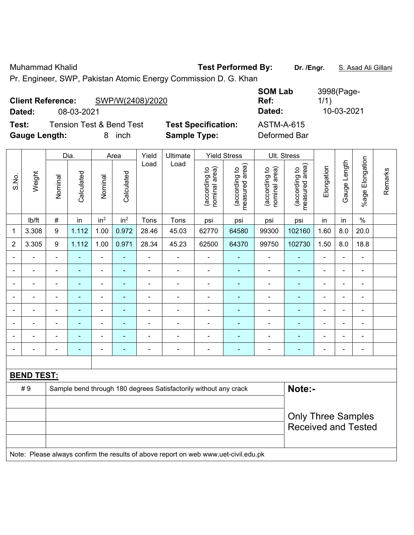Muhammad Khalid **Test Performed By:** Dr. /Engr. **S. Asad Ali Gillani** Ali Dillani

Pr. Engineer, SWP, Pakistan Atomic Energy Commission D. G. Khan

| <b>Client Reference:</b><br>Dated: | 08-03-2021                          | SWP/W(2408)/2020 |                            | <b>SOM Lab</b><br>Ref:<br>Dated: | 3998(Page-<br>1/1)<br>10-03-2021 |
|------------------------------------|-------------------------------------|------------------|----------------------------|----------------------------------|----------------------------------|
| Test:                              | <b>Tension Test &amp; Bend Test</b> |                  | <b>Test Specification:</b> | <b>ASTM-A-615</b>                |                                  |
| <b>Gauge Length:</b>               |                                     | inch             | <b>Sample Type:</b>        | Deformed Bar                     |                                  |

|                          |                   |                  | Dia.           |                 | Area            | Yield          | Ultimate                                                                            |                                | <b>Yield Stress</b>             |                                | Ult. Stress                     |                |                |                          |         |
|--------------------------|-------------------|------------------|----------------|-----------------|-----------------|----------------|-------------------------------------------------------------------------------------|--------------------------------|---------------------------------|--------------------------------|---------------------------------|----------------|----------------|--------------------------|---------|
| S.No.                    | Weight            | Nominal          | Calculated     | Nominal         | Calculated      | Load           | Load                                                                                | nominal area)<br>(according to | (according to<br>measured area) | nominal area)<br>(according to | measured area)<br>(according to | Elongation     | Gauge Length   | Elongation<br>$%$ age I  | Remarks |
|                          | lb/ft             | $\#$             | in             | in <sup>2</sup> | in <sup>2</sup> | Tons           | Tons                                                                                | psi                            | psi                             | psi                            | psi                             | in             | in             | $\%$                     |         |
| 1                        | 3.308             | 9                | 1.112          | 1.00            | 0.972           | 28.46          | 45.03                                                                               | 62770                          | 64580                           | 99300                          | 102160                          | 1.60           | 8.0            | 20.0                     |         |
| $\overline{2}$           | 3.305             | $\boldsymbol{9}$ | 1.112          | 1.00            | 0.971           | 28.34          | 45.23                                                                               | 62500                          | 64370                           | 99750                          | 102730                          | 1.50           | 8.0            | 18.8                     |         |
| $\blacksquare$           | $\blacksquare$    | $\blacksquare$   |                | ÷,              | ۰               | $\blacksquare$ | $\frac{1}{2}$                                                                       | $\blacksquare$                 | ۰                               | $\overline{\phantom{a}}$       | ä,                              | $\blacksquare$ | ÷,             | ÷                        |         |
| $\blacksquare$           | ÷                 | $\blacksquare$   | ÷              | ÷,              | $\blacksquare$  | ä,             | ÷,                                                                                  | $\blacksquare$                 | $\blacksquare$                  | ÷                              | $\blacksquare$                  | $\blacksquare$ | $\blacksquare$ | $\blacksquare$           |         |
|                          | ä,                | $\blacksquare$   | ÷              | $\frac{1}{2}$   | $\sim$          | $\blacksquare$ | $\frac{1}{2}$                                                                       | $\blacksquare$                 | $\blacksquare$                  | ÷                              | ä,                              | $\blacksquare$ | $\blacksquare$ | $\blacksquare$           |         |
|                          | ä,                | $\blacksquare$   | L,             | ÷,              | Ē.              | ä,             | $\blacksquare$                                                                      | ä,                             | $\blacksquare$                  | ÷                              | $\blacksquare$                  | $\blacksquare$ | ÷,             | $\blacksquare$           |         |
|                          | ÷                 | $\blacksquare$   | ÷              | $\blacksquare$  | ä,              | ä,             | $\blacksquare$                                                                      | $\blacksquare$                 | ۰                               | $\blacksquare$                 | ÷,                              | $\blacksquare$ | ä,             | ä,                       |         |
|                          |                   |                  | ۰              | $\blacksquare$  | ٠               | $\blacksquare$ |                                                                                     |                                | $\blacksquare$                  |                                |                                 |                | $\blacksquare$ | $\blacksquare$           |         |
|                          |                   |                  |                | -               |                 |                | -                                                                                   |                                |                                 |                                |                                 |                | ÷              | Ē,                       |         |
| $\overline{\phantom{0}}$ | $\blacksquare$    | $\blacksquare$   | $\blacksquare$ | -               | ÷               | $\blacksquare$ | $\overline{\phantom{a}}$                                                            | $\blacksquare$                 | ۰                               | $\overline{\phantom{0}}$       | ۰                               | $\blacksquare$ | ÷              | $\overline{\phantom{a}}$ |         |
|                          |                   |                  |                |                 |                 |                |                                                                                     |                                |                                 |                                |                                 |                |                |                          |         |
|                          | <b>BEND TEST:</b> |                  |                |                 |                 |                |                                                                                     |                                |                                 |                                |                                 |                |                |                          |         |
|                          | #9                |                  |                |                 |                 |                | Sample bend through 180 degrees Satisfactorily without any crack                    |                                |                                 |                                | Note:-                          |                |                |                          |         |
|                          |                   |                  |                |                 |                 |                |                                                                                     |                                |                                 |                                |                                 |                |                |                          |         |
|                          |                   |                  |                |                 |                 |                |                                                                                     |                                |                                 |                                | <b>Only Three Samples</b>       |                |                |                          |         |
|                          |                   |                  |                |                 |                 |                |                                                                                     |                                |                                 |                                | <b>Received and Tested</b>      |                |                |                          |         |
|                          |                   |                  |                |                 |                 |                | Note: Please always confirm the results of above report on web www.uet-civil.edu.pk |                                |                                 |                                |                                 |                |                |                          |         |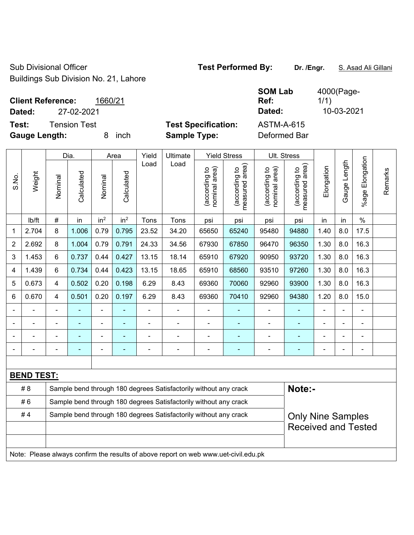Sub Divisional Officer **Test Performed By:** Dr. /Engr. **S. Asad Ali Gillani** Buildings Sub Division No. 21, Lahore

| <b>Client Reference:</b>                      | 1660/21 |                                                   | <b>SOM Lab</b><br>Ref:            | 4000(Page-<br>1/1 |
|-----------------------------------------------|---------|---------------------------------------------------|-----------------------------------|-------------------|
| 27-02-2021<br>Dated:                          |         |                                                   | Dated:                            | 10-03-2021        |
| Tension Test<br>Test:<br><b>Gauge Length:</b> | inch    | <b>Test Specification:</b><br><b>Sample Type:</b> | <b>ASTM-A-615</b><br>Deformed Bar |                   |
|                                               |         |                                                   |                                   |                   |

|       |                   |                | Dia.                                                             |                 | Area                     | Yield          | <b>Yield Stress</b>                                                                 |                                | Ult. Stress                                 |                                |                                 |                |                |                    |         |
|-------|-------------------|----------------|------------------------------------------------------------------|-----------------|--------------------------|----------------|-------------------------------------------------------------------------------------|--------------------------------|---------------------------------------------|--------------------------------|---------------------------------|----------------|----------------|--------------------|---------|
| S.No. | Weight            | Nominal        | Calculated                                                       | Nominal         | Calculated               | Load           | Load                                                                                | nominal area)<br>(according to | (according to<br>neasured area)<br>measured | (according to<br>nominal area) | (according to<br>measured area) | Elongation     | Gauge Length   | Elongation<br>%age | Remarks |
|       | lb/ft             | #              | in                                                               | in <sup>2</sup> | in <sup>2</sup>          | Tons           | Tons                                                                                | psi                            | psi                                         | psi                            | psi                             | in             | in             | $\%$               |         |
| 1     | 2.704             | 8              | 1.006                                                            | 0.79            | 0.795                    | 23.52          | 34.20                                                                               | 65650                          | 65240                                       | 95480                          | 94880                           | 1.40           | 8.0            | 17.5               |         |
| 2     | 2.692             | 8              | 1.004                                                            | 0.79            | 0.791                    | 24.33          | 34.56                                                                               | 67930                          | 67850                                       | 96470                          | 96350                           | 1.30           | 8.0            | 16.3               |         |
| 3     | 1.453             | 6              | 0.737                                                            | 0.44            | 0.427                    | 13.15          | 18.14                                                                               | 65910                          | 67920                                       | 90950                          | 93720                           | 1.30           | 8.0            | 16.3               |         |
| 4     | 1.439             | 6              | 0.734                                                            | 0.44            | 0.423                    | 13.15          | 18.65                                                                               | 65910                          | 68560                                       | 93510                          | 97260                           | 1.30           | 8.0            | 16.3               |         |
| 5     | 0.673             | $\overline{4}$ | 0.502                                                            | 0.20            | 0.198                    | 6.29           | 8.43                                                                                | 69360                          | 70060                                       | 92960                          | 93900                           | 1.30           | 8.0            | 16.3               |         |
| 6     | 0.670             | $\overline{4}$ | 0.501                                                            | 0.20            | 0.197                    | 6.29           | 8.43                                                                                | 69360                          | 70410                                       | 92960                          | 94380                           | 1.20           | 8.0            | 15.0               |         |
|       |                   |                |                                                                  |                 |                          |                |                                                                                     |                                |                                             |                                | $\blacksquare$                  |                |                | $\blacksquare$     |         |
|       |                   |                |                                                                  | ÷               |                          |                | $\blacksquare$                                                                      |                                |                                             |                                |                                 |                |                |                    |         |
|       |                   |                |                                                                  | ٠               |                          | $\blacksquare$ | $\blacksquare$                                                                      | $\blacksquare$                 | $\blacksquare$                              | $\overline{\phantom{0}}$       | $\blacksquare$                  |                | $\blacksquare$ | ä,                 |         |
|       |                   | $\blacksquare$ | ÷                                                                | ÷               | $\overline{\phantom{a}}$ | L,             | ÷,                                                                                  | $\blacksquare$                 | ÷,                                          | ÷,                             | $\blacksquare$                  | $\blacksquare$ | $\blacksquare$ | $\blacksquare$     |         |
|       |                   |                |                                                                  |                 |                          |                |                                                                                     |                                |                                             |                                |                                 |                |                |                    |         |
|       | <b>BEND TEST:</b> |                |                                                                  |                 |                          |                |                                                                                     |                                |                                             |                                |                                 |                |                |                    |         |
|       | # 8               |                |                                                                  |                 |                          |                | Sample bend through 180 degrees Satisfactorily without any crack                    |                                |                                             |                                | Note:-                          |                |                |                    |         |
|       | #6                |                | Sample bend through 180 degrees Satisfactorily without any crack |                 |                          |                |                                                                                     |                                |                                             |                                |                                 |                |                |                    |         |
|       | #4                |                |                                                                  |                 |                          |                | Sample bend through 180 degrees Satisfactorily without any crack                    |                                |                                             |                                | <b>Only Nine Samples</b>        |                |                |                    |         |
|       |                   |                |                                                                  |                 |                          |                |                                                                                     |                                |                                             |                                | <b>Received and Tested</b>      |                |                |                    |         |
|       |                   |                |                                                                  |                 |                          |                |                                                                                     |                                |                                             |                                |                                 |                |                |                    |         |
|       |                   |                |                                                                  |                 |                          |                | Note: Please always confirm the results of above report on web www.uet-civil.edu.pk |                                |                                             |                                |                                 |                |                |                    |         |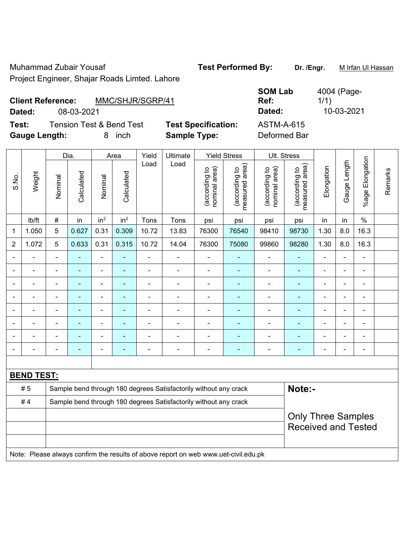Muhammad Zubair Yousaf **Test Performed By:** Dr. /Engr. Muhammad Zubair Yousaf

Project Engineer, Shajar Roads Limted. Lahore

| <b>Client Reference:</b> |            | MMC/SHJR/SGRP/41 |  | Ref:   | 1/1        |
|--------------------------|------------|------------------|--|--------|------------|
| Dated:                   | 08-03-2021 |                  |  | Dated: | 10-03-2021 |
|                          |            |                  |  |        |            |

**Test:** Tension Test & Bend Test **Test Specification: Gauge Length:** 8 inch **Sample Type:** Deformed Bar

| <b>SOM Lab</b><br>Ref: | 4004 (Page-<br>1/1)<br>10-03-2021 |
|------------------------|-----------------------------------|
| Dated:                 |                                   |
| <b>ASTM-A-615</b>      |                                   |

|                |                   |                                                                  | Dia.                     |                 | Area            | Yield                    | Ultimate                                                                            |                                | <b>Yield Stress</b>             |                                | Ult. Stress                     |                                                         |                          |                 |         |
|----------------|-------------------|------------------------------------------------------------------|--------------------------|-----------------|-----------------|--------------------------|-------------------------------------------------------------------------------------|--------------------------------|---------------------------------|--------------------------------|---------------------------------|---------------------------------------------------------|--------------------------|-----------------|---------|
| S.No.          | Weight            | Nominal                                                          | Calculated               | Nominal         | Calculated      | Load                     | Load                                                                                | nominal area)<br>(according to | (according to<br>measured area) | nominal area)<br>(according to | measured area)<br>(according to | Elongation                                              | Gauge Length             | %age Elongation | Remarks |
|                | lb/ft             | $\#$                                                             | in                       | in <sup>2</sup> | in <sup>2</sup> | Tons                     | Tons                                                                                | psi                            | psi                             | psi                            | psi                             | in                                                      | in                       | $\%$            |         |
| $\mathbf 1$    | 1.050             | 5                                                                | 0.627                    | 0.31            | 0.309           | 10.72                    | 13.83                                                                               | 76300                          | 76540                           | 98410                          | 98730                           | 1.30                                                    | 8.0                      | 16.3            |         |
| 2              | 1.072             | 5                                                                | 0.633                    | 0.31            | 0.315           | 10.72                    | 14.04                                                                               | 76300                          | 75080                           | 99860                          | 98280                           | 1.30                                                    | 8.0                      | 16.3            |         |
| $\blacksquare$ | $\blacksquare$    | $\blacksquare$                                                   | ä,                       | $\overline{a}$  | $\blacksquare$  | ä,                       | $\blacksquare$                                                                      | $\overline{\phantom{a}}$       | $\blacksquare$                  | $\qquad \qquad \blacksquare$   | ä,                              | $\blacksquare$                                          | $\blacksquare$           | $\blacksquare$  |         |
|                | $\blacksquare$    | $\blacksquare$                                                   | $\blacksquare$           | $\blacksquare$  | $\blacksquare$  | $\blacksquare$           | $\blacksquare$                                                                      | $\blacksquare$                 | $\blacksquare$                  | ÷,                             | $\blacksquare$                  |                                                         | $\blacksquare$           | $\blacksquare$  |         |
|                |                   | $\blacksquare$                                                   | $\blacksquare$           | $\blacksquare$  | $\blacksquare$  | $\overline{\phantom{a}}$ | $\blacksquare$                                                                      | $\blacksquare$                 | $\blacksquare$                  | $\blacksquare$                 | ä,                              |                                                         |                          | $\blacksquare$  |         |
|                |                   |                                                                  | $\blacksquare$           | ۰               | ٠               |                          |                                                                                     | $\blacksquare$                 | ÷                               | ۰                              | $\overline{a}$                  |                                                         |                          | $\blacksquare$  |         |
|                |                   |                                                                  |                          | ä,              |                 |                          |                                                                                     | ٠                              | ÷                               | ÷                              |                                 |                                                         |                          |                 |         |
|                |                   |                                                                  | ٠                        | $\blacksquare$  | ٠               | $\blacksquare$           | $\blacksquare$                                                                      | $\blacksquare$                 | ۰                               | ۰                              | $\blacksquare$                  | $\blacksquare$                                          |                          | $\blacksquare$  |         |
|                |                   | $\blacksquare$                                                   | $\overline{\phantom{0}}$ | ä,              | ٠               |                          | $\blacksquare$                                                                      | $\blacksquare$                 | ۰                               | $\qquad \qquad \blacksquare$   | ä,                              |                                                         |                          | $\blacksquare$  |         |
| $\blacksquare$ | ÷                 | $\blacksquare$                                                   | $\blacksquare$           | $\blacksquare$  | $\blacksquare$  | Ē,                       | $\blacksquare$                                                                      | $\blacksquare$                 | ÷                               | ۰                              | ä,                              | $\blacksquare$                                          | $\overline{\phantom{a}}$ | $\blacksquare$  |         |
|                |                   |                                                                  |                          |                 |                 |                          |                                                                                     |                                |                                 |                                |                                 |                                                         |                          |                 |         |
|                | <b>BEND TEST:</b> |                                                                  |                          |                 |                 |                          |                                                                                     |                                |                                 |                                |                                 |                                                         |                          |                 |         |
|                | #5                |                                                                  |                          |                 |                 |                          | Sample bend through 180 degrees Satisfactorily without any crack                    |                                |                                 |                                | Note:-                          |                                                         |                          |                 |         |
|                | #4                | Sample bend through 180 degrees Satisfactorily without any crack |                          |                 |                 |                          |                                                                                     |                                |                                 |                                |                                 |                                                         |                          |                 |         |
|                |                   |                                                                  |                          |                 |                 |                          |                                                                                     |                                |                                 |                                |                                 | <b>Only Three Samples</b><br><b>Received and Tested</b> |                          |                 |         |
|                |                   |                                                                  |                          |                 |                 |                          | Note: Please always confirm the results of above report on web www.uet-civil.edu.pk |                                |                                 |                                |                                 |                                                         |                          |                 |         |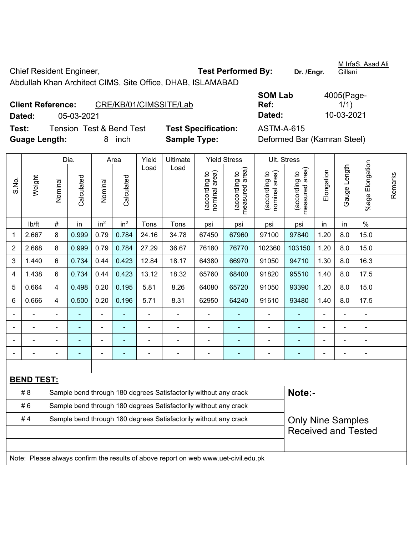Chief Resident Engineer, **Test Performed By:** Dr. /Engr.

Abdullah Khan Architect CIMS, Site Office, DHAB, ISLAMABAD

**Client Reference:** CRE/KB/01/CIMSSITE/Lab

**SOM Lab Ref:**  4005(Page- $1/1)$ **Dated:** 05-03-2021 **Dated:** 10-03-2021

**Test:** Tension Test & Bend Test **Test Specification:** ASTM-A-615 **Guage Length:** 8 inch **Sample Type:** Deformed Bar (Kamran Steel)

|       |                   |                | Dia.           |                 | Area            | Yield                    | Ultimate                                                                            |                                | <b>Yield Stress</b>                         |                                | Ult. Stress                                 |                |                |                 |         |
|-------|-------------------|----------------|----------------|-----------------|-----------------|--------------------------|-------------------------------------------------------------------------------------|--------------------------------|---------------------------------------------|--------------------------------|---------------------------------------------|----------------|----------------|-----------------|---------|
| S.No. | Weight            | Nominal        | Calculated     | Nominal         | Calculated      | Load                     | Load                                                                                | nominal area)<br>(according to | (according to<br>neasured area)<br>measured | nominal area)<br>(according to | (according to<br>measured area)<br>measured | Elongation     | Gauge Length   | %age Elongation | Remarks |
|       | lb/ft             | $\#$           | in             | in <sup>2</sup> | in <sup>2</sup> | Tons                     | Tons                                                                                | psi                            | psi                                         | psi                            | psi                                         | in             | in             | $\%$            |         |
| 1     | 2.667             | 8              | 0.999          | 0.79            | 0.784           | 24.16                    | 34.78                                                                               | 67450                          | 67960                                       | 97100                          | 97840                                       | 1.20           | 8.0            | 15.0            |         |
| 2     | 2.668             | 8              | 0.999          | 0.79            | 0.784           | 27.29                    | 36.67                                                                               | 76180                          | 76770                                       | 102360                         | 103150                                      | 1.20           | 8.0            | 15.0            |         |
| 3     | 1.440             | 6              | 0.734          | 0.44            | 0.423           | 12.84                    | 18.17                                                                               | 64380                          | 66970                                       | 91050                          | 94710                                       | 1.30           | 8.0            | 16.3            |         |
| 4     | 1.438             | 6              | 0.734          | 0.44            | 0.423           | 13.12                    | 18.32                                                                               | 65760                          | 68400                                       | 91820                          | 95510                                       | 1.40           | 8.0            | 17.5            |         |
| 5     | 0.664             | 4              | 0.498          | 0.20            | 0.195           | 5.81                     | 8.26                                                                                | 64080                          | 65720                                       | 91050                          | 93390                                       | 1.20           | 8.0            | 15.0            |         |
| 6     | 0.666             | 4              | 0.500          | 0.20            | 0.196           | 5.71                     | 8.31                                                                                | 62950                          | 64240                                       | 91610                          | 93480                                       | 1.40           | 8.0            | 17.5            |         |
|       |                   | $\blacksquare$ |                |                 |                 | $\overline{\phantom{a}}$ |                                                                                     |                                | L.                                          |                                |                                             |                |                |                 |         |
|       |                   | $\blacksquare$ |                |                 |                 |                          |                                                                                     |                                | $\blacksquare$                              |                                |                                             |                |                |                 |         |
|       |                   | ä,             | $\blacksquare$ | ÷               | ۳               | ÷                        | ÷                                                                                   |                                | ÷                                           | $\blacksquare$                 |                                             |                |                | $\blacksquare$  |         |
|       |                   | ä,             | ۰              | ÷               | $\blacksquare$  | $\blacksquare$           | $\overline{a}$                                                                      | $\blacksquare$                 | $\blacksquare$                              | $\blacksquare$                 | $\blacksquare$                              | $\blacksquare$ | $\blacksquare$ | $\blacksquare$  |         |
|       |                   |                |                |                 |                 |                          |                                                                                     |                                |                                             |                                |                                             |                |                |                 |         |
|       | <b>BEND TEST:</b> |                |                |                 |                 |                          |                                                                                     |                                |                                             |                                |                                             |                |                |                 |         |
|       | # 8               |                |                |                 |                 |                          | Sample bend through 180 degrees Satisfactorily without any crack                    |                                |                                             |                                | Note:-                                      |                |                |                 |         |
|       | #6                |                |                |                 |                 |                          | Sample bend through 180 degrees Satisfactorily without any crack                    |                                |                                             |                                |                                             |                |                |                 |         |
|       | #4                |                |                |                 |                 |                          | Sample bend through 180 degrees Satisfactorily without any crack                    |                                |                                             |                                | <b>Only Nine Samples</b>                    |                |                |                 |         |
|       |                   |                |                |                 |                 |                          |                                                                                     |                                |                                             |                                | <b>Received and Tested</b>                  |                |                |                 |         |
|       |                   |                |                |                 |                 |                          |                                                                                     |                                |                                             |                                |                                             |                |                |                 |         |
|       |                   |                |                |                 |                 |                          | Note: Please always confirm the results of above report on web www.uet-civil.edu.pk |                                |                                             |                                |                                             |                |                |                 |         |

M IrfaS. Asad Ali **Gillani**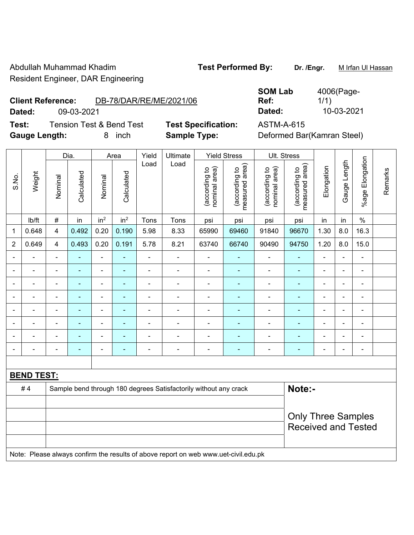Abdullah Muhammad Khadim **Test Performed By:** Dr. /Engr. M Irfan Ul Hassan Resident Engineer, DAR Engineering

### **Client Reference:** DB-78/DAR/RE/ME/2021/06

**Dated:** 09-03-2021 **Dated:** 10-03-2021

**Test:** Tension Test & Bend Test **Test Specification:** ASTM-A-615 **Gauge Length:** 8 inch **Sample Type:** Deformed Bar(Kamran Steel)

| <b>SOM Lab</b> | 4006(Page- |
|----------------|------------|
| Ref:           | 1/1)       |
| Dated:         | 10-03-2021 |

|                          |                   |                | Dia.           |                          | Area            | Yield          | Ultimate                                                                            |                                | <b>Yield Stress</b>             |                                | Ult. Stress                     |                |                |                          |         |
|--------------------------|-------------------|----------------|----------------|--------------------------|-----------------|----------------|-------------------------------------------------------------------------------------|--------------------------------|---------------------------------|--------------------------------|---------------------------------|----------------|----------------|--------------------------|---------|
| S.No.                    | Weight            | Nominal        | Calculated     | Nominal                  | Calculated      | Load           | Load                                                                                | nominal area)<br>(according to | (according to<br>measured area) | nominal area)<br>(according to | (according to<br>measured area) | Elongation     | Gauge Length   | %age Elongation          | Remarks |
|                          | Ib/ft             | $\#$           | in             | in <sup>2</sup>          | in <sup>2</sup> | Tons           | Tons                                                                                | psi                            | psi                             | psi                            | psi                             | in             | in             | $\%$                     |         |
| $\mathbf{1}$             | 0.648             | $\overline{4}$ | 0.492          | 0.20                     | 0.190           | 5.98           | 8.33                                                                                | 65990                          | 69460                           | 91840                          | 96670                           | 1.30           | 8.0            | 16.3                     |         |
| $\overline{2}$           | 0.649             | $\overline{4}$ | 0.493          | 0.20                     | 0.191           | 5.78           | 8.21                                                                                | 63740                          | 66740                           | 90490                          | 94750                           | 1.20           | 8.0            | 15.0                     |         |
| $\overline{\phantom{0}}$ | $\blacksquare$    | $\blacksquare$ | ÷              | ÷,                       | $\blacksquare$  | $\blacksquare$ | ÷,                                                                                  | $\blacksquare$                 | ۰                               | ÷                              | ۰                               | $\blacksquare$ | ä,             | $\blacksquare$           |         |
|                          | ÷                 | $\blacksquare$ | ÷              | ÷                        | $\blacksquare$  | Ē,             | ÷.                                                                                  | $\blacksquare$                 | ٠                               | ÷                              | $\blacksquare$                  | $\blacksquare$ | $\blacksquare$ | ÷                        |         |
|                          | $\blacksquare$    | $\blacksquare$ | ÷              | $\blacksquare$           | $\blacksquare$  | $\blacksquare$ | $\frac{1}{2}$                                                                       | $\overline{a}$                 | $\blacksquare$                  | $\overline{\phantom{a}}$       | ä,                              | $\blacksquare$ | $\blacksquare$ | $\blacksquare$           |         |
|                          | $\blacksquare$    | $\blacksquare$ | ä,             | $\blacksquare$           | ٠               | L,             | ÷                                                                                   | $\blacksquare$                 | ٠                               | ÷                              | ä,                              | $\blacksquare$ | ä,             | $\blacksquare$           |         |
|                          |                   |                | ä,             | ÷,                       |                 | L,             | ÷.                                                                                  | $\blacksquare$                 | ä,                              | ä,                             | ä,                              | $\blacksquare$ | ä,             | ä,                       |         |
|                          |                   |                | $\blacksquare$ | $\overline{\phantom{0}}$ |                 |                |                                                                                     |                                | $\blacksquare$                  |                                | ۰                               |                | $\blacksquare$ | $\overline{\phantom{0}}$ |         |
|                          |                   |                |                | ۰                        |                 |                | $\blacksquare$                                                                      |                                |                                 |                                | $\blacksquare$                  |                | $\blacksquare$ | $\blacksquare$           |         |
|                          |                   | $\blacksquare$ | ÷              | ÷                        | ÷               | Ĭ.             | ÷                                                                                   | $\overline{a}$                 | ۰                               | ÷                              | ۰                               | ÷              | ä,             | $\blacksquare$           |         |
|                          |                   |                |                |                          |                 |                |                                                                                     |                                |                                 |                                |                                 |                |                |                          |         |
|                          | <b>BEND TEST:</b> |                |                |                          |                 |                |                                                                                     |                                |                                 |                                |                                 |                |                |                          |         |
|                          | #4                |                |                |                          |                 |                | Sample bend through 180 degrees Satisfactorily without any crack                    |                                |                                 |                                | Note:-                          |                |                |                          |         |
|                          |                   |                |                |                          |                 |                |                                                                                     |                                |                                 |                                |                                 |                |                |                          |         |
|                          |                   |                |                |                          |                 |                |                                                                                     |                                |                                 |                                | <b>Only Three Samples</b>       |                |                |                          |         |
|                          |                   |                |                |                          |                 |                |                                                                                     |                                |                                 |                                | <b>Received and Tested</b>      |                |                |                          |         |
|                          |                   |                |                |                          |                 |                |                                                                                     |                                |                                 |                                |                                 |                |                |                          |         |
|                          |                   |                |                |                          |                 |                | Note: Please always confirm the results of above report on web www.uet-civil.edu.pk |                                |                                 |                                |                                 |                |                |                          |         |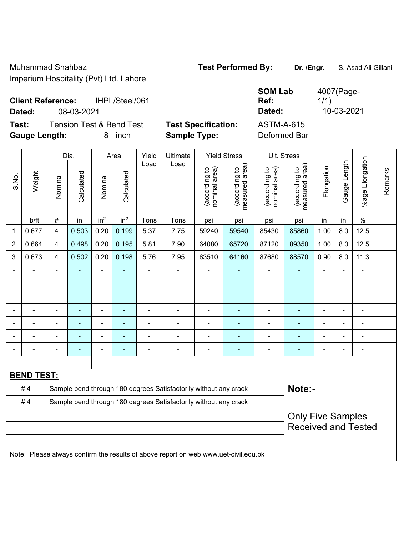Muhammad Shahbaz **Test Performed By:** Dr. /Engr. **S. Asad Ali Gillani** Imperium Hospitality (Pvt) Ltd. Lahore

|        | <b>Client Reference:</b><br>IHPL/Steel/061 |                            | ---------<br>Ref: |
|--------|--------------------------------------------|----------------------------|-------------------|
| Dated: | 08-03-2021                                 |                            | Dated:            |
| Test:  | <b>Tension Test &amp; Bend Test</b>        | <b>Test Specification:</b> | ASTM-A-615        |

**SOM Lab Ref:**  4007(Page-1/1) **Dated:** 08-03-2021 **Dated:** 10-03-2021

**Gauge Length:** 8 inch **Sample Type:** Deformed Bar

|                                                                                     |                   | Dia.                     |            | Area                         |                 | Yield          | Ultimate                                                         | <b>Yield Stress</b>            |                                 | Ult. Stress                    |                                 |                          |              |                              |         |
|-------------------------------------------------------------------------------------|-------------------|--------------------------|------------|------------------------------|-----------------|----------------|------------------------------------------------------------------|--------------------------------|---------------------------------|--------------------------------|---------------------------------|--------------------------|--------------|------------------------------|---------|
| S.No.                                                                               | Weight            | Nominal                  | Calculated | Nominal                      | Calculated      | Load           | Load                                                             | nominal area)<br>(according to | measured area)<br>(according to | (according to<br>nominal area) | measured area)<br>(according to | Elongation               | Gauge Length | %age Elongation              | Remarks |
|                                                                                     | lb/ft             | $\#$                     | in         | in <sup>2</sup>              | in <sup>2</sup> | Tons           | Tons                                                             | psi                            | psi                             | psi                            | psi                             | in                       | in           | $\%$                         |         |
| 1                                                                                   | 0.677             | 4                        | 0.503      | 0.20                         | 0.199           | 5.37           | 7.75                                                             | 59240                          | 59540                           | 85430                          | 85860                           | 1.00                     | 8.0          | 12.5                         |         |
| $\overline{2}$                                                                      | 0.664             | $\overline{4}$           | 0.498      | 0.20                         | 0.195           | 5.81           | 7.90                                                             | 64080                          | 65720                           | 87120                          | 89350                           | 1.00                     | 8.0          | 12.5                         |         |
| 3                                                                                   | 0.673             | $\overline{4}$           | 0.502      | 0.20                         | 0.198           | 5.76           | 7.95                                                             | 63510                          | 64160                           | 87680                          | 88570                           | 0.90                     | 8.0          | 11.3                         |         |
|                                                                                     |                   |                          |            |                              |                 |                |                                                                  |                                |                                 |                                |                                 |                          |              |                              |         |
|                                                                                     |                   | $\overline{\phantom{a}}$ | ۰          | $\qquad \qquad \blacksquare$ | $\overline{a}$  | $\blacksquare$ | ä,                                                               | $\blacksquare$                 | $\overline{a}$                  | $\blacksquare$                 | $\blacksquare$                  | $\overline{a}$           | ä,           | $\qquad \qquad \blacksquare$ |         |
|                                                                                     |                   | $\blacksquare$           | ä,         | $\blacksquare$               |                 | $\blacksquare$ | ÷.                                                               | $\blacksquare$                 | ٠                               | $\overline{\phantom{a}}$       | $\blacksquare$                  |                          |              | ÷                            |         |
|                                                                                     | $\blacksquare$    | $\blacksquare$           | ÷          | $\qquad \qquad \blacksquare$ | $\blacksquare$  | $\blacksquare$ | ÷.                                                               | $\blacksquare$                 | ÷                               | $\overline{\phantom{a}}$       | $\blacksquare$                  | $\blacksquare$           |              | $\blacksquare$               |         |
|                                                                                     |                   |                          |            |                              |                 |                |                                                                  |                                |                                 |                                | $\blacksquare$                  |                          |              |                              |         |
|                                                                                     |                   |                          |            |                              |                 |                |                                                                  |                                |                                 |                                |                                 |                          |              |                              |         |
|                                                                                     |                   | ÷                        | ä,         | $\blacksquare$               | ÷               |                | ÷                                                                | $\blacksquare$                 | ٠                               |                                | $\blacksquare$                  | ä,                       |              | $\qquad \qquad \blacksquare$ |         |
|                                                                                     |                   |                          |            |                              |                 |                |                                                                  |                                |                                 |                                |                                 |                          |              |                              |         |
|                                                                                     | <b>BEND TEST:</b> |                          |            |                              |                 |                |                                                                  |                                |                                 |                                |                                 |                          |              |                              |         |
|                                                                                     | #4                |                          |            |                              |                 |                | Sample bend through 180 degrees Satisfactorily without any crack |                                |                                 |                                | Note:-                          |                          |              |                              |         |
|                                                                                     | #4                |                          |            |                              |                 |                | Sample bend through 180 degrees Satisfactorily without any crack |                                |                                 |                                |                                 |                          |              |                              |         |
|                                                                                     |                   |                          |            |                              |                 |                |                                                                  |                                |                                 |                                |                                 | <b>Only Five Samples</b> |              |                              |         |
|                                                                                     |                   |                          |            |                              |                 |                |                                                                  |                                |                                 |                                |                                 |                          |              | <b>Received and Tested</b>   |         |
|                                                                                     |                   |                          |            |                              |                 |                |                                                                  |                                |                                 |                                |                                 |                          |              |                              |         |
| Note: Please always confirm the results of above report on web www.uet-civil.edu.pk |                   |                          |            |                              |                 |                |                                                                  |                                |                                 |                                |                                 |                          |              |                              |         |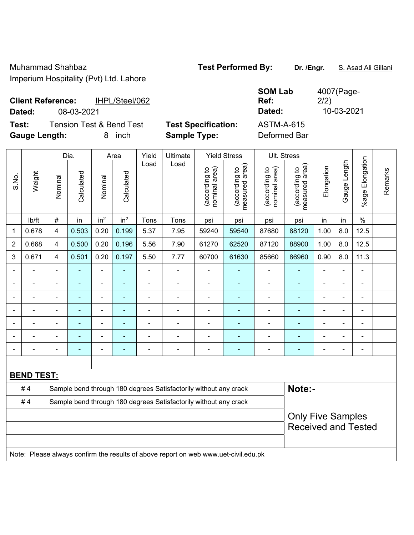Muhammad Shahbaz **Test Performed By:** Dr. /Engr. **S. Asad Ali Gillani** Imperium Hospitality (Pvt) Ltd. Lahore

| <b>Client Reference:</b> |            | IHPL/Steel/062                      |                            | <b>SOM Lab</b><br>Ref: | 4007(Page-<br>2/2) |
|--------------------------|------------|-------------------------------------|----------------------------|------------------------|--------------------|
| Dated:                   | 08-03-2021 |                                     |                            | Dated:                 | 10-03-2021         |
| Test:                    |            | <b>Tension Test &amp; Bend Test</b> | <b>Test Specification:</b> | <b>ASTM-A-615</b>      |                    |
| <b>Gauge Length:</b>     |            | inch                                | <b>Sample Type:</b>        | Deformed Bar           |                    |

| Weight<br>S.No. |                   | Dia.                                                             |                | Area            |                 | Yield          | Ultimate                                                                            | <b>Yield Stress</b>            |                                             | Ult. Stress                    |                                 |                |                |                      |         |
|-----------------|-------------------|------------------------------------------------------------------|----------------|-----------------|-----------------|----------------|-------------------------------------------------------------------------------------|--------------------------------|---------------------------------------------|--------------------------------|---------------------------------|----------------|----------------|----------------------|---------|
|                 |                   | Nominal                                                          | Calculated     | Nominal         | Calculated      | Load           | Load                                                                                | nominal area)<br>(according to | (according to<br>neasured area)<br>measured | (according to<br>nominal area) | (according to<br>measured area) | Elongation     | Gauge Length   | Elongation<br>%age l | Remarks |
|                 | lb/ft             | $\#$                                                             | in             | in <sup>2</sup> | in <sup>2</sup> | Tons           | Tons                                                                                | psi                            | psi                                         | psi                            | psi                             | in             | in             | $\%$                 |         |
| $\mathbf{1}$    | 0.678             | $\overline{4}$                                                   | 0.503          | 0.20            | 0.199           | 5.37           | 7.95                                                                                | 59240                          | 59540                                       | 87680                          | 88120                           | 1.00           | 8.0            | 12.5                 |         |
| $\overline{2}$  | 0.668             | $\overline{4}$                                                   | 0.500          | 0.20            | 0.196           | 5.56           | 7.90                                                                                | 61270                          | 62520                                       | 87120                          | 88900                           | 1.00           | 8.0            | 12.5                 |         |
| $\mathbf{3}$    | 0.671             | $\overline{4}$                                                   | 0.501          | 0.20            | 0.197           | 5.50           | 7.77                                                                                | 60700                          | 61630                                       | 85660                          | 86960                           | 0.90           | 8.0            | 11.3                 |         |
|                 |                   | $\blacksquare$                                                   |                | $\blacksquare$  | $\blacksquare$  | $\blacksquare$ | $\blacksquare$                                                                      | $\blacksquare$                 | $\blacksquare$                              | ÷,                             | ۰                               | $\blacksquare$ |                | $\blacksquare$       |         |
|                 |                   |                                                                  | ÷,             | $\blacksquare$  | $\blacksquare$  | $\blacksquare$ | ä,                                                                                  | $\blacksquare$                 | $\blacksquare$                              | ÷                              | $\blacksquare$                  | $\blacksquare$ |                | $\blacksquare$       |         |
|                 |                   | $\blacksquare$                                                   | $\blacksquare$ | ÷               | $\blacksquare$  | $\blacksquare$ | ÷                                                                                   | $\blacksquare$                 | $\blacksquare$                              | ÷                              | ÷,                              | $\blacksquare$ |                | ÷                    |         |
|                 |                   |                                                                  |                |                 |                 |                |                                                                                     |                                |                                             | ۰                              |                                 |                |                |                      |         |
|                 |                   |                                                                  |                | ÷               | $\blacksquare$  |                | $\blacksquare$                                                                      |                                |                                             | ÷                              |                                 | L.             |                | ÷,                   |         |
|                 |                   |                                                                  |                | ÷               |                 |                | $\blacksquare$                                                                      |                                |                                             | ÷                              |                                 | L,             |                |                      |         |
|                 |                   | $\blacksquare$                                                   | ۰              | $\blacksquare$  | $\blacksquare$  | $\blacksquare$ | $\blacksquare$                                                                      | $\blacksquare$                 | $\blacksquare$                              | ÷                              | ÷,                              | $\blacksquare$ | $\blacksquare$ | $\blacksquare$       |         |
|                 |                   |                                                                  |                |                 |                 |                |                                                                                     |                                |                                             |                                |                                 |                |                |                      |         |
|                 | <b>BEND TEST:</b> |                                                                  |                |                 |                 |                |                                                                                     |                                |                                             |                                |                                 |                |                |                      |         |
|                 | #4                |                                                                  |                |                 |                 |                | Sample bend through 180 degrees Satisfactorily without any crack                    |                                |                                             |                                | Note:-                          |                |                |                      |         |
|                 | #4                | Sample bend through 180 degrees Satisfactorily without any crack |                |                 |                 |                |                                                                                     |                                |                                             |                                |                                 |                |                |                      |         |
|                 |                   |                                                                  |                |                 |                 |                |                                                                                     |                                |                                             |                                | <b>Only Five Samples</b>        |                |                |                      |         |
|                 |                   |                                                                  |                |                 |                 |                |                                                                                     |                                |                                             |                                | <b>Received and Tested</b>      |                |                |                      |         |
|                 |                   |                                                                  |                |                 |                 |                |                                                                                     |                                |                                             |                                |                                 |                |                |                      |         |
|                 |                   |                                                                  |                |                 |                 |                | Note: Please always confirm the results of above report on web www.uet-civil.edu.pk |                                |                                             |                                |                                 |                |                |                      |         |